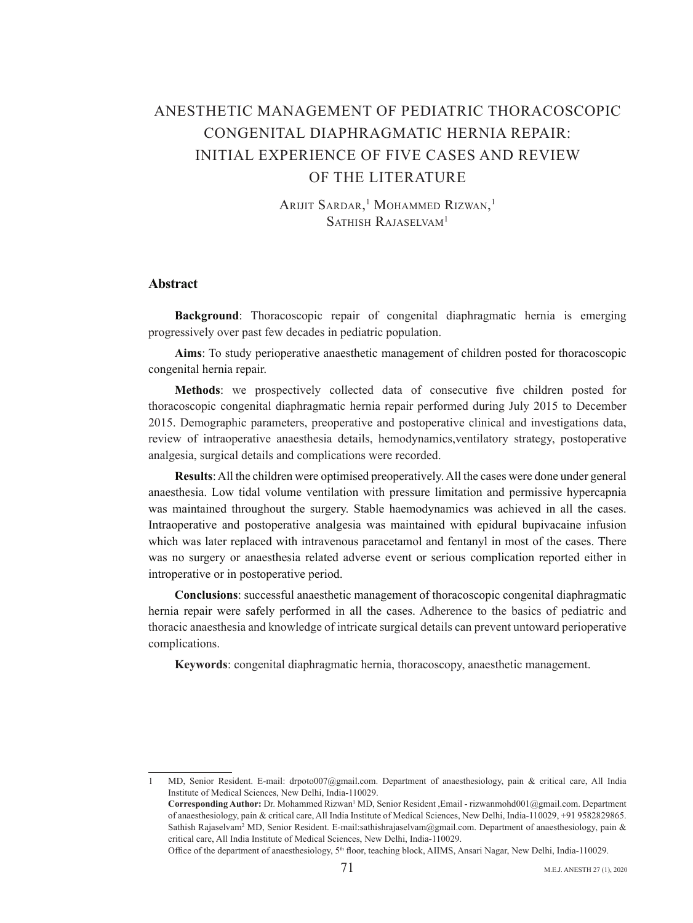# ANESTHETIC MANAGEMENT OF PEDIATRIC THORACOSCOPIC  $CONGENITAL$  DIAPHRAGMATIC HERNIA REPAIR $\cdot$ INITIAL EXPERIENCE OF FIVE CASES AND REVIEW OF THE LITERATURE

Arijit Sardar,<sup>1</sup> Mohammed Rizwan,<sup>1</sup> SATHISH RAJASELVAM<sup>1</sup>

# **Abstract**

**Background:** Thoracoscopic repair of congenital diaphragmatic hernia is emerging progressively over past few decades in pediatric population.

Aims: To study perioperative anaesthetic management of children posted for thoracoscopic congenital hernia repair.

**Methods**: we prospectively collected data of consecutive five children posted for thoracoscopic congenital diaphragmatic hernia repair performed during July 2015 to December 2015. Demographic parameters, preoperative and postoperative clinical and investigations data, review of intraoperative anaesthesia details, hemodynamics, ventilatory strategy, postoperative analgesia, surgical details and complications were recorded.

**Results**: All the children were optimised preoperatively. All the cases were done under general anaesthesia. Low tidal volume ventilation with pressure limitation and permissive hypercapnia was maintained throughout the surgery. Stable haemodynamics was achieved in all the cases. Intraoperative and postoperative analgesia was maintained with epidural bupivacaine infusion which was later replaced with intravenous paracetamol and fentanyl in most of the cases. There was no surgery or anaesthesia related adverse event or serious complication reported either in introperative or in postoperative period.

Conclusions: successful anaesthetic management of thoracoscopic congenital diaphragmatic hernia repair were safely performed in all the cases. Adherence to the basics of pediatric and thoracic anaesthesia and knowledge of intricate surgical details can prevent untoward perioperative .complications

Keywords: congenital diaphragmatic hernia, thoracoscopy, anaesthetic management.

MD, Senior Resident. E-mail: drpoto007@gmail.com. Department of anaesthesiology, pain & critical care, All India Institute of Medical Sciences, New Delhi, India-110029. Corresponding Author: Dr. Mohammed Rizwan<sup>1</sup> MD, Senior Resident ,Email - rizwanmohd001@gmail.com. Department of anaesthesiology, pain & critical care, All India Institute of Medical Sciences, New Delhi, India-110029, +91 9582829865.

Sathish Rajaselvam<sup>2</sup> MD, Senior Resident. E-mail:sathishrajaselvam@gmail.com. Department of anaesthesiology, pain & critical care, All India Institute of Medical Sciences, New Delhi, India-110029.

Office of the department of anaesthesiology, 5<sup>th</sup> floor, teaching block, AIIMS, Ansari Nagar, New Delhi, India-110029.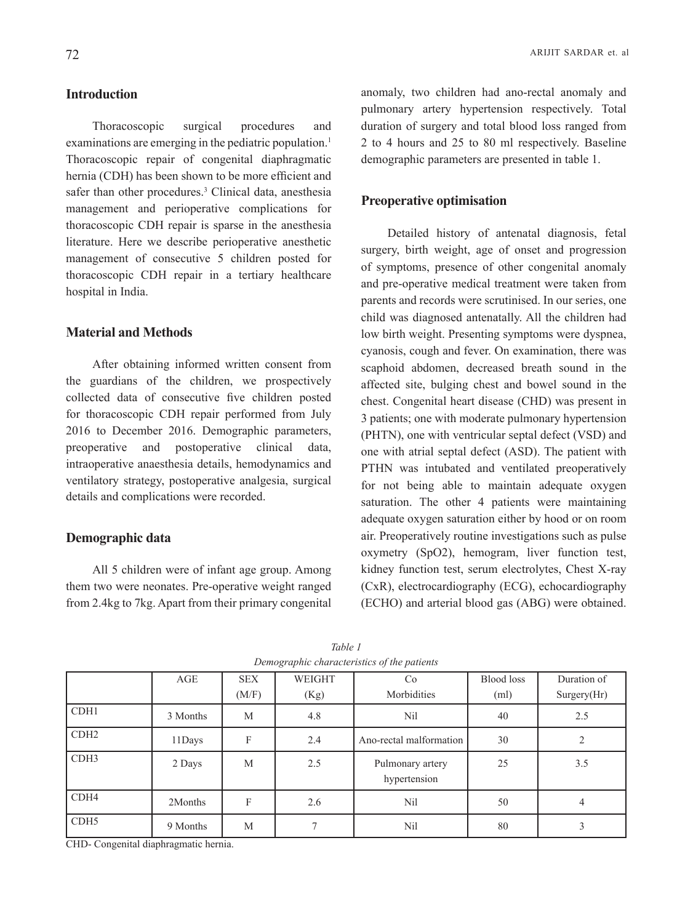# **Introduction**

Thoracoscopic surgical procedures and examinations are emerging in the pediatric population.<sup>1</sup> Thoracoscopic repair of congenital diaphragmatic hernia (CDH) has been shown to be more efficient and safer than other procedures.<sup>3</sup> Clinical data, anesthesia management and perioperative complications for thoracoscopic CDH repair is sparse in the anesthesia literature. Here we describe perioperative anesthetic management of consecutive 5 children posted for thoracoscopic CDH repair in a tertiary healthcare hospital in India.

# **Material and Methods**

After obtaining informed written consent from the guardians of the children, we prospectively collected data of consecutive five children posted for thoracoscopic CDH repair performed from July 2016 to December 2016. Demographic parameters, preoperative and postoperative clinical data, intraoperative anaesthesia details, hemodynamics and ventilatory strategy, postoperative analgesia, surgical details and complications were recorded.

# **Demographic** data

All 5 children were of infant age group. Among them two were neonates. Pre-operative weight ranged from 2.4 kg to 7 kg. Apart from their primary congenital anomaly, two children had ano-rectal anomaly and pulmonary artery hypertension respectively. Total duration of surgery and total blood loss ranged from  $2$  to 4 hours and  $25$  to 80 ml respectively. Baseline demographic parameters are presented in table 1.

#### **Preoperative optimisation**

Detailed history of antenatal diagnosis, fetal surgery, birth weight, age of onset and progression of symptoms, presence of other congenital anomaly and pre-operative medical treatment were taken from parents and records were scrutinised. In our series, one child was diagnosed antenatally. All the children had low birth weight. Presenting symptoms were dyspnea, cyanosis, cough and fever. On examination, there was scaphoid abdomen, decreased breath sound in the affected site, bulging chest and bowel sound in the chest. Congenital heart disease (CHD) was present in 3 patients; one with moderate pulmonary hypertension  $(PHTN)$ , one with ventricular septal defect  $(VSD)$  and one with atrial septal defect (ASD). The patient with PTHN was intubated and ventilated preoperatively for not being able to maintain adequate oxygen saturation. The other 4 patients were maintaining adequate oxygen saturation either by hood or on room air. Preoperatively routine investigations such as pulse oxymetry  $(SpO2)$ , hemogram, liver function test, kidney function test, serum electrolytes, Chest X-ray  $(CxR)$ , electrocardiography (ECG), echocardiography (ECHO) and arterial blood gas (ABG) were obtained.

|                  | AGE      | <b>SEX</b> | WEIGHT | Co                               | <b>Blood</b> loss | Duration of |
|------------------|----------|------------|--------|----------------------------------|-------------------|-------------|
|                  |          | (M/F)      | (Kg)   | Morbidities                      | (m <sub>l</sub> ) | Surgery(Hr) |
| CDH1             | 3 Months | M          | 4.8    | N <sub>il</sub>                  | 40                | 2.5         |
| CDH <sub>2</sub> | 11Days   | F          | 2.4    | Ano-rectal malformation          | 30                | 2           |
| CDH3             | 2 Days   | M          | 2.5    | Pulmonary artery<br>hypertension | 25                | 3.5         |
| CDH <sub>4</sub> | 2Months  | F          | 2.6    | N <sub>il</sub>                  | 50                | 4           |
| CDH <sub>5</sub> | 9 Months | M          |        | N <sub>il</sub>                  | 80                |             |

*1 Table Demographic characteristics of the patients* 

CHD- Congenital diaphragmatic hernia.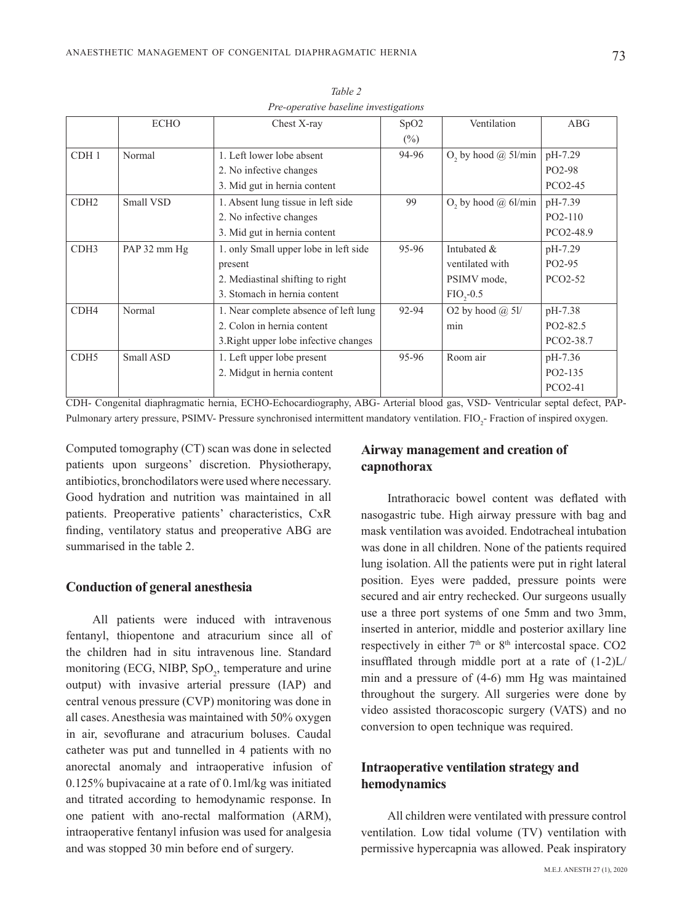|                  | <b>ECHO</b>  | Chest X-ray                           | SpO <sub>2</sub>                             | Ventilation                            | <b>ABG</b> |
|------------------|--------------|---------------------------------------|----------------------------------------------|----------------------------------------|------------|
|                  |              |                                       | $(\%)$                                       |                                        |            |
| CDH <sub>1</sub> | Normal       | 1. Left lower lobe absent             | 94-96                                        | O <sub>2</sub> by hood $\omega$ 51/min | pH-7.29    |
|                  |              | 2. No infective changes               |                                              |                                        | PO2-98     |
|                  |              | 3. Mid gut in hernia content          |                                              |                                        | PCO2-45    |
| CDH <sub>2</sub> | Small VSD    | 1. Absent lung tissue in left side    | 99<br>O <sub>2</sub> by hood $\omega$ 6l/min |                                        | pH-7.39    |
|                  |              | 2. No infective changes               |                                              |                                        | PO2-110    |
|                  |              | 3. Mid gut in hernia content          |                                              |                                        | PCO2-48.9  |
| CDH <sub>3</sub> | PAP 32 mm Hg | 1. only Small upper lobe in left side | 95-96                                        | Intubated &                            | pH-7.29    |
|                  |              | present                               |                                              | ventilated with                        | PO2-95     |
|                  |              | 2. Mediastinal shifting to right      |                                              | PSIMV mode,                            | PCO2-52    |
|                  |              | 3. Stomach in hernia content          |                                              | $FIO, -0.5$                            |            |
| CDH <sub>4</sub> | Normal       | 1. Near complete absence of left lung | 92-94                                        | O2 by hood $(a)$ 5l/                   | pH-7.38    |
|                  |              | 2. Colon in hernia content            |                                              | min                                    | PO2-82.5   |
|                  |              | 3. Right upper lobe infective changes |                                              |                                        | PCO2-38.7  |
| CDH <sub>5</sub> | Small ASD    | 1. Left upper lobe present            | 95-96                                        | Room air                               | pH-7.36    |
|                  |              | 2. Midgut in hernia content           |                                              |                                        | PO2-135    |
|                  |              |                                       |                                              |                                        | PCO2-41    |
|                  |              |                                       |                                              |                                        |            |

*2 Table Pre-operative baseline investigations* 

CDH- Congenital diaphragmatic hernia, ECHO-Echocardiography, ABG- Arterial blood gas, VSD- Ventricular septal defect, PAP-<br>Pulmonary artery pressure, PSIMV- Pressure synchronised intermittent mandatory ventilation. FIO<sub>2</sub>-CDH- Congenital diaphragmatic hernia, ECHO-Echocardiography, ABG- Arterial blood gas, VSD- Ventricular septal defect, PAP-

Computed tomography  $(CT)$  scan was done in selected patients upon surgeons' discretion. Physiotherapy, antibiotics, bronchodilators were used where necessary. Good hydration and nutrition was maintained in all patients. Preoperative patients' characteristics, CxR finding, ventilatory status and preoperative ABG are summarised in the table 2

#### **Conduction of general anesthesia**

All patients were induced with intravenous fentanyl, thiopentone and atracurium since all of the children had in situ intravenous line. Standard monitoring (ECG, NIBP,  $SpO<sub>2</sub>$ , temperature and urine output) with invasive arterial pressure (IAP) and central venous pressure (CVP) monitoring was done in all cases. Anesthesia was maintained with  $50\%$  oxygen in air, sevoflurane and atracurium boluses. Caudal catheter was put and tunnelled in 4 patients with no anorectal anomaly and intraoperative infusion of  $0.125%$  bupivacaine at a rate of  $0.1$ ml/kg was initiated and titrated according to hemodynamic response. In one patient with ano-rectal malformation (ARM), intraoperative fentanyl infusion was used for analgesia and was stopped 30 min before end of surgery.

# **Airway** management and creation of **capnothorax**

Intrathoracic bowel content was deflated with nasogastric tube. High airway pressure with bag and mask ventilation was avoided. Endotracheal intubation was done in all children. None of the patients required lung isolation. All the patients were put in right lateral position. Eyes were padded, pressure points were secured and air entry rechecked. Our surgeons usually use a three port systems of one 5mm and two 3mm, inserted in anterior, middle and posterior axillary line respectively in either  $7<sup>th</sup>$  or  $8<sup>th</sup>$  intercostal space. CO2 insufflated through middle port at a rate of  $(1-2)L/$ min and a pressure of  $(4-6)$  mm Hg was maintained throughout the surgery. All surgeries were done by video assisted thoracoscopic surgery (VATS) and no conversion to open technique was required.

# **Intraoperative ventilation strategy and hemodynamics**

All children were ventilated with pressure control ventilation. Low tidal volume (TV) ventilation with permissive hypercapnia was allowed. Peak inspiratory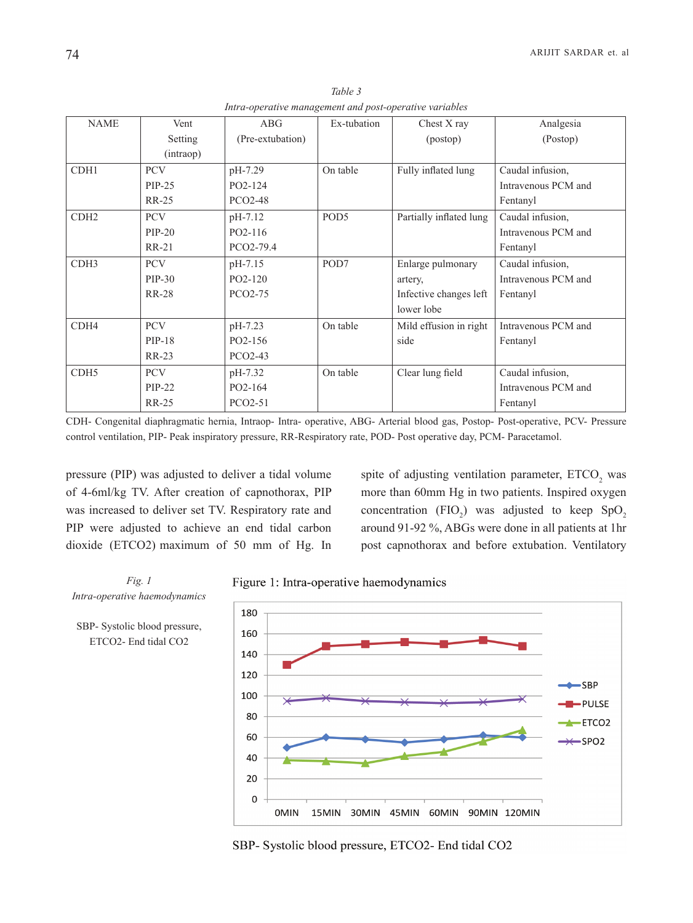| <b>NAME</b>      | Vent         | ABG                  | Ex-tubation      | Chest X ray             | Analgesia           |
|------------------|--------------|----------------------|------------------|-------------------------|---------------------|
|                  | Setting      | (Pre-extubation)     |                  | (postop)                | (Postop)            |
|                  | (intraop)    |                      |                  |                         |                     |
| CDH1             | <b>PCV</b>   | pH-7.29              | On table         | Fully inflated lung     | Caudal infusion,    |
|                  | $PIP-25$     | PO2-124              |                  |                         | Intravenous PCM and |
|                  | <b>RR-25</b> | <b>PCO2-48</b>       |                  |                         | Fentanyl            |
| CDH <sub>2</sub> | <b>PCV</b>   | pH-7.12              | POD <sub>5</sub> | Partially inflated lung | Caudal infusion,    |
|                  | $PIP-20$     | PO2-116              |                  |                         | Intravenous PCM and |
|                  | <b>RR-21</b> | PCO2-79.4            |                  |                         | Fentanyl            |
| CDH <sub>3</sub> | <b>PCV</b>   | pH-7.15              | POD7             | Enlarge pulmonary       | Caudal infusion,    |
|                  | PIP-30       | PO2-120              |                  | artery,                 | Intravenous PCM and |
|                  | <b>RR-28</b> | PCO2-75              |                  | Infective changes left  | Fentanyl            |
|                  |              |                      |                  | lower lobe              |                     |
| CDH4             | <b>PCV</b>   | pH-7.23              | On table         | Mild effusion in right  | Intravenous PCM and |
|                  | PIP-18       | PO2-156              |                  | side                    | Fentanyl            |
|                  | $RR-23$      | PCO <sub>2</sub> -43 |                  |                         |                     |
| CDH <sub>5</sub> | <b>PCV</b>   | pH-7.32              | On table         | Clear lung field        | Caudal infusion,    |
|                  | $PIP-22$     | PO2-164              |                  |                         | Intravenous PCM and |
|                  | <b>RR-25</b> | PCO2-51              |                  |                         | Fentanyl            |
|                  |              |                      |                  |                         |                     |

*3 Table Intra-operative management and post-operative variables* 

CDH- Congenital diaphragmatic hernia, Intraop-Intra- operative, ABG- Arterial blood gas, Postop-Post-operative, PCV- Pressure control ventilation, PIP- Peak inspiratory pressure, RR-Respiratory rate, POD- Post operative day, PCM- Paracetamol.

pressure (PIP) was adjusted to deliver a tidal volume of 4-6ml/kg TV. After creation of capnothorax, PIP was increased to deliver set TV. Respiratory rate and PIP were adjusted to achieve an end tidal carbon dioxide (ETCO2) maximum of 50 mm of Hg. In

spite of adjusting ventilation parameter,  $ETCO<sub>2</sub>$  was more than 60mm Hg in two patients. Inspired oxygen concentration (FIO<sub>2</sub>) was adjusted to keep  $SpO<sub>2</sub>$ around 91-92 %, ABGs were done in all patients at 1hr post capnothorax and before extubation. Ventilatory

*Fig.* 1 *Intra-operative haemodynamics* 

SBP- Systolic blood pressure, ETCO2- End tidal CO2





SBP- Systolic blood pressure, ETCO2- End tidal CO2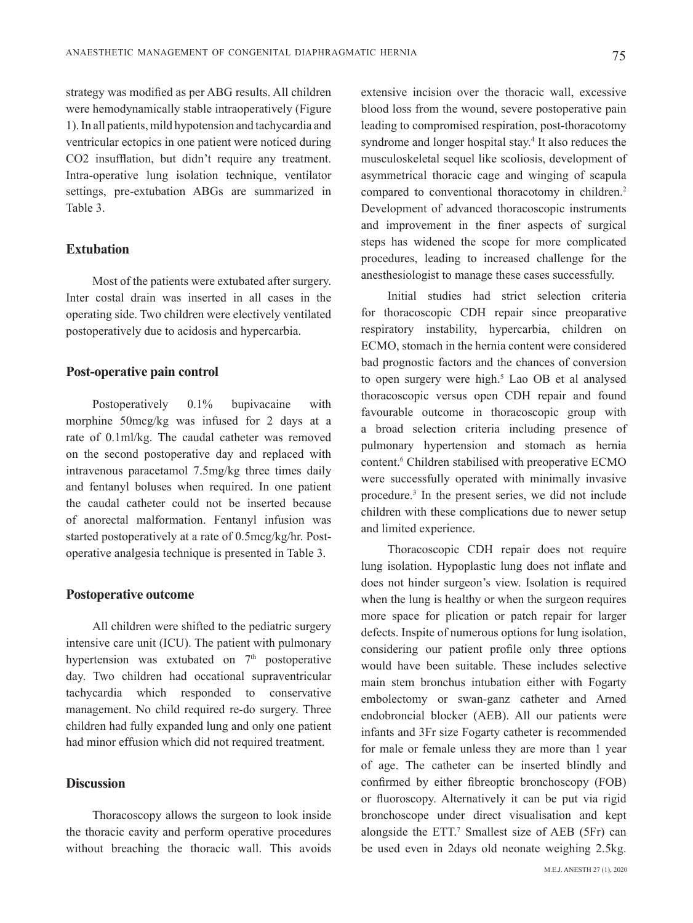strategy was modified as per ABG results. All children were hemodynamically stable intraoperatively (Figure 1). In all patients, mild hypotension and tachycardia and ventricular ectopics in one patient were noticed during CO2 insufflation, but didn't require any treatment. Intra-operative lung isolation technique, ventilator settings, pre-extubation ABGs are summarized in Table 3

# **Extubation**

Most of the patients were extubated after surgery. Inter costal drain was inserted in all cases in the operating side. Two children were electively ventilated postoperatively due to acidosis and hypercarbia.

#### **Post-operative pain control**

Postoperatively  $0.1\%$  bupivacaine with morphine 50 mcg/kg was infused for 2 days at a rate of 0.1 ml/kg. The caudal catheter was removed on the second postoperative day and replaced with intravenous paracetamol 7.5 mg/kg three times daily and fentanyl boluses when required. In one patient the caudal catheter could not be inserted because of anorectal malformation. Fentanyl infusion was operative analgesia technique is presented in Table 3. started postoperatively at a rate of 0.5 mcg/kg/hr. Post-

### **Postoperative outcome**

All children were shifted to the pediatric surgery intensive care unit (ICU). The patient with pulmonary hypertension was extubated on  $7<sup>th</sup>$  postoperative day. Two children had occational supraventricular tachycardia which responded to conservative management. No child required re-do surgery. Three children had fully expanded lung and only one patient had minor effusion which did not required treatment.

## **Discussion**

Thoracoscopy allows the surgeon to look inside the thoracic cavity and perform operative procedures without breaching the thoracic wall. This avoids

extensive incision over the thoracic wall, excessive blood loss from the wound, severe postoperative pain leading to compromised respiration, post-thoracotomy syndrome and longer hospital stay.<sup>4</sup> It also reduces the musculoskeletal sequel like scoliosis, development of asymmetrical thoracic cage and winging of scapula compared to conventional thoracotomy in children.<sup>2</sup> Development of advanced thoracoscopic instruments and improvement in the finer aspects of surgical steps has widened the scope for more complicated procedures, leading to increased challenge for the anesthesiologist to manage these cases successfully.

Initial studies had strict selection criteria for thoracoscopic CDH repair since preoparative respiratory instability, hypercarbia, children on ECMO, stomach in the hernia content were considered bad prognostic factors and the chances of conversion to open surgery were high.<sup>5</sup> Lao OB et al analysed thoracoscopic versus open CDH repair and found favourable outcome in thoracoscopic group with a broad selection criteria including presence of pulmonary hypertension and stomach as hernia content.<sup>6</sup> Children stabilised with preoperative ECMO were successfully operated with minimally invasive procedure.<sup>3</sup> In the present series, we did not include children with these complications due to newer setup and limited experience.

Thoracoscopic CDH repair does not require lung isolation. Hypoplastic lung does not inflate and does not hinder surgeon's view. Isolation is required when the lung is healthy or when the surgeon requires more space for plication or patch repair for larger defects. Inspite of numerous options for lung isolation, considering our patient profile only three options would have been suitable. These includes selective main stem bronchus intubation either with Fogarty embolectomy or swan-ganz catheter and Arned endobroncial blocker (AEB). All our patients were infants and 3Fr size Fogarty catheter is recommended for male or female unless they are more than 1 year of age. The catheter can be inserted blindly and confirmed by either fibreoptic bronchoscopy (FOB) or fluoroscopy. Alternatively it can be put via rigid bronchoscope under direct visualisation and kept alongside the ETT. $^7$  Smallest size of AEB (5Fr) can be used even in 2days old neonate weighing 2.5kg.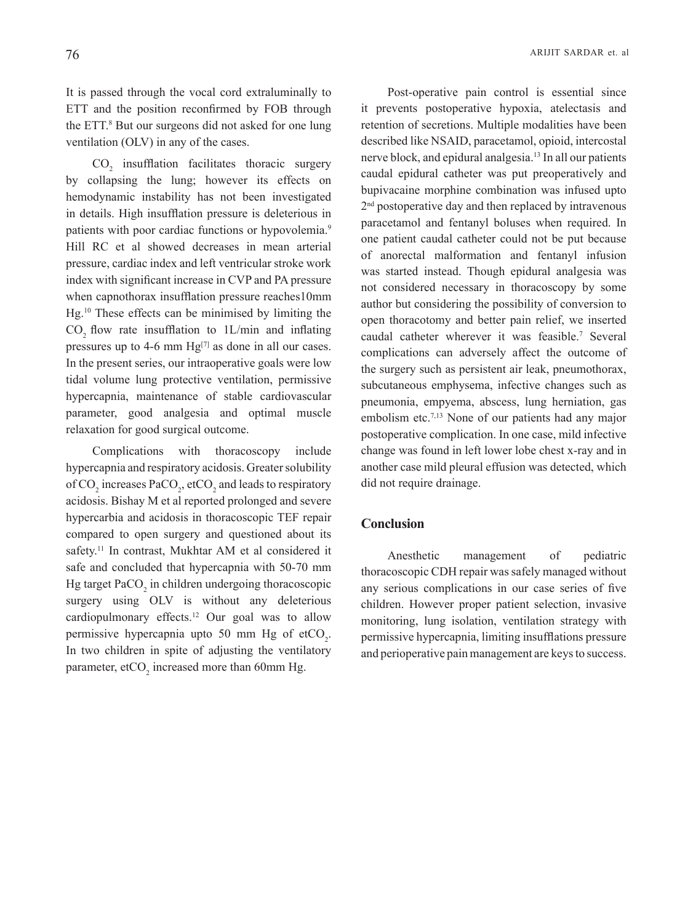It is passed through the vocal cord extraluminally to ETT and the position reconfirmed by FOB through the ETT.<sup>8</sup> But our surgeons did not asked for one lung ventilation (OLV) in any of the cases.

 $CO<sub>2</sub>$  insufflation facilitates thoracic surgery by collapsing the lung; however its effects on hemodynamic instability has not been investigated in details. High insufflation pressure is deleterious in patients with poor cardiac functions or hypovolemia.<sup>9</sup> Hill RC et al showed decreases in mean arterial pressure, cardiac index and left ventricular stroke work index with significant increase in CVP and PA pressure when capnothorax insufflation pressure reaches 10mm Hg.<sup>10</sup> These effects can be minimised by limiting the  $CO<sub>2</sub>$  flow rate insufflation to  $1L/min$  and inflating pressures up to 4-6 mm  $Hg^{[7]}$  as done in all our cases. In the present series, our intraoperative goals were low tidal volume lung protective ventilation, permissive hypercapnia, maintenance of stable cardiovascular parameter, good analgesia and optimal muscle relaxation for good surgical outcome.

Complications with thoracoscopy include hypercapnia and respiratory acidosis. Greater solubility of  $CO_2$  increases PaCO<sub>2</sub>, etCO<sub>2</sub> and leads to respiratory acidosis. Bishay M et al reported prolonged and severe hypercarbia and acidosis in thoracoscopic TEF repair compared to open surgery and questioned about its safety.<sup>11</sup> In contrast, Mukhtar AM et al considered it safe and concluded that hypercapnia with 50-70 mm Hg target  $PaCO<sub>2</sub>$  in children undergoing thoracoscopic surgery using OLV is without any deleterious cardiopulmonary effects.<sup>12</sup> Our goal was to allow permissive hypercapnia upto 50 mm Hg of  $\text{etCO}_2$ . In two children in spite of adjusting the ventilatory parameter,  $\text{etCO}_2$  increased more than 60mm Hg.

Post-operative pain control is essential since it prevents postoperative hypoxia, atelectasis and retention of secretions. Multiple modalities have been described like NSAID, paracetamol, opioid, intercostal nerve block, and epidural analgesia.<sup>13</sup> In all our patients caudal epidural catheter was put preoperatively and bupivacaine morphine combination was infused upto  $2<sup>nd</sup>$  postoperative day and then replaced by intravenous paracetamol and fentanyl boluses when required. In one patient caudal catheter could not be put because of anorectal malformation and fentanyl infusion was started instead. Though epidural analgesia was not considered necessary in thoracoscopy by some author but considering the possibility of conversion to open thoracotomy and better pain relief, we inserted caudal catheter wherever it was feasible.<sup>7</sup> Several complications can adversely affect the outcome of the surgery such as persistent air leak, pneumothorax, subcutaneous emphysema, infective changes such as pneumonia, empyema, abscess, lung herniation, gas embolism etc.<sup>7,13</sup> None of our patients had any major postoperative complication. In one case, mild infective change was found in left lower lobe chest x-ray and in another case mild pleural effusion was detected, which did not require drainage.

# **Conclusion**

Anesthetic management of pediatric thoracoscopic CDH repair was safely managed without any serious complications in our case series of five children. However proper patient selection, invasive monitoring, lung isolation, ventilation strategy with permissive hypercapnia, limiting insufflations pressure and perioperative pain management are keys to success.